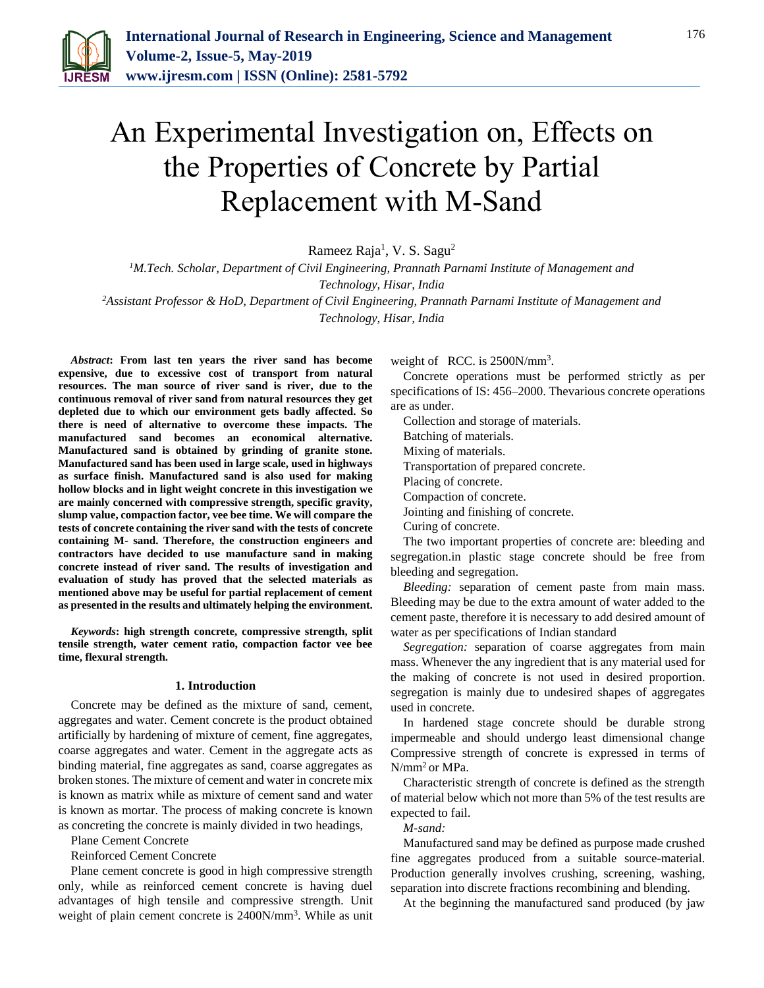

# An Experimental Investigation on, Effects on the Properties of Concrete by Partial Replacement with M-Sand

Rameez Raja<sup>1</sup>, V. S. Sagu<sup>2</sup>

*<sup>1</sup>M.Tech. Scholar, Department of Civil Engineering, Prannath Parnami Institute of Management and Technology, Hisar, India*

*<sup>2</sup>Assistant Professor & HoD, Department of Civil Engineering, Prannath Parnami Institute of Management and Technology, Hisar, India*

*Abstract***: From last ten years the river sand has become expensive, due to excessive cost of transport from natural resources. The man source of river sand is river, due to the continuous removal of river sand from natural resources they get depleted due to which our environment gets badly affected. So there is need of alternative to overcome these impacts. The manufactured sand becomes an economical alternative. Manufactured sand is obtained by grinding of granite stone. Manufactured sand has been used in large scale, used in highways as surface finish. Manufactured sand is also used for making hollow blocks and in light weight concrete in this investigation we are mainly concerned with compressive strength, specific gravity, slump value, compaction factor, vee bee time. We will compare the tests of concrete containing the river sand with the tests of concrete containing M- sand. Therefore, the construction engineers and contractors have decided to use manufacture sand in making concrete instead of river sand. The results of investigation and evaluation of study has proved that the selected materials as mentioned above may be useful for partial replacement of cement as presented in the results and ultimately helping the environment.**

*Keywords***: high strength concrete, compressive strength, split tensile strength, water cement ratio, compaction factor vee bee time, flexural strength.**

#### **1. Introduction**

Concrete may be defined as the mixture of sand, cement, aggregates and water. Cement concrete is the product obtained artificially by hardening of mixture of cement, fine aggregates, coarse aggregates and water. Cement in the aggregate acts as binding material, fine aggregates as sand, coarse aggregates as broken stones. The mixture of cement and water in concrete mix is known as matrix while as mixture of cement sand and water is known as mortar. The process of making concrete is known as concreting the concrete is mainly divided in two headings,

Plane Cement Concrete

Reinforced Cement Concrete

Plane cement concrete is good in high compressive strength only, while as reinforced cement concrete is having duel advantages of high tensile and compressive strength. Unit weight of plain cement concrete is 2400N/mm<sup>3</sup>. While as unit weight of RCC. is 2500N/mm<sup>3</sup>.

Concrete operations must be performed strictly as per specifications of IS: 456–2000. Thevarious concrete operations are as under.

Collection and storage of materials.

Batching of materials.

Mixing of materials.

Transportation of prepared concrete.

Placing of concrete.

Compaction of concrete.

Jointing and finishing of concrete.

Curing of concrete.

The two important properties of concrete are: bleeding and segregation.in plastic stage concrete should be free from bleeding and segregation.

*Bleeding:* separation of cement paste from main mass. Bleeding may be due to the extra amount of water added to the cement paste, therefore it is necessary to add desired amount of water as per specifications of Indian standard

*Segregation:* separation of coarse aggregates from main mass. Whenever the any ingredient that is any material used for the making of concrete is not used in desired proportion. segregation is mainly due to undesired shapes of aggregates used in concrete.

In hardened stage concrete should be durable strong impermeable and should undergo least dimensional change Compressive strength of concrete is expressed in terms of N/mm<sup>2</sup>or MPa.

Characteristic strength of concrete is defined as the strength of material below which not more than 5% of the test results are expected to fail.

*M-sand:*

Manufactured sand may be defined as purpose made crushed fine aggregates produced from a suitable source-material. Production generally involves crushing, screening, washing, separation into discrete fractions recombining and blending.

At the beginning the manufactured sand produced (by jaw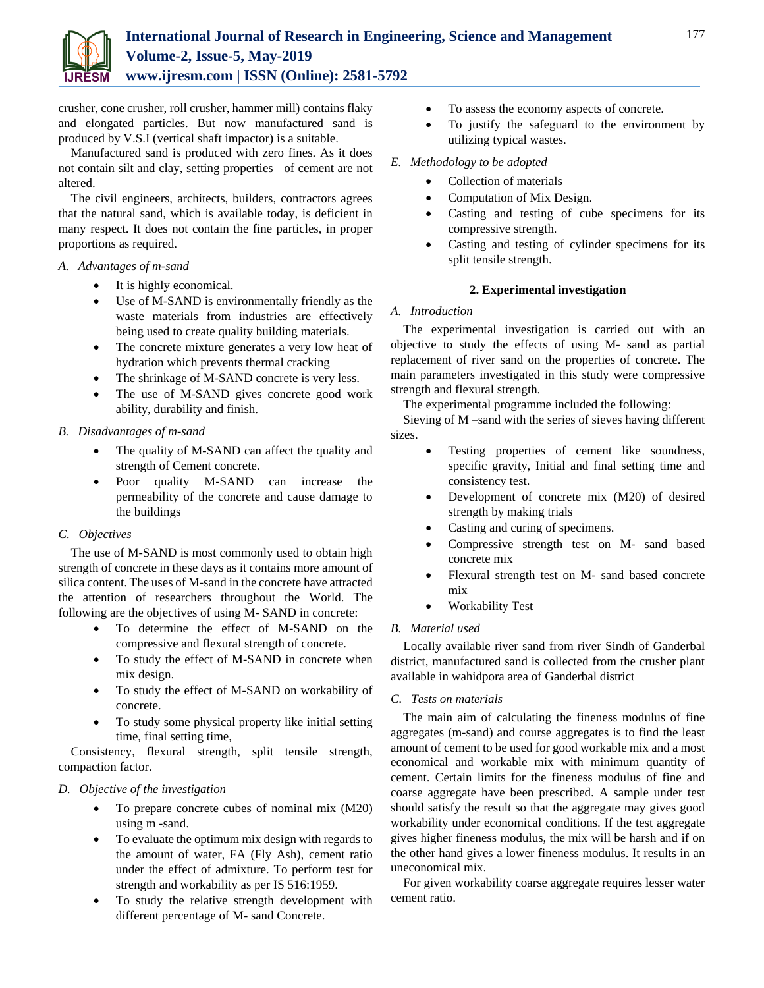

crusher, cone crusher, roll crusher, hammer mill) contains flaky and elongated particles. But now manufactured sand is produced by V.S.I (vertical shaft impactor) is a suitable.

Manufactured sand is produced with zero fines. As it does not contain silt and clay, setting properties of cement are not altered.

The civil engineers, architects, builders, contractors agrees that the natural sand, which is available today, is deficient in many respect. It does not contain the fine particles, in proper proportions as required.

#### *A. Advantages of m-sand*

- It is highly economical.
- Use of M-SAND is environmentally friendly as the waste materials from industries are effectively being used to create quality building materials.
- The concrete mixture generates a very low heat of hydration which prevents thermal cracking
- The shrinkage of M-SAND concrete is very less.
- The use of M-SAND gives concrete good work ability, durability and finish.

#### *B. Disadvantages of m-sand*

- The quality of M-SAND can affect the quality and strength of Cement concrete.
- Poor quality M-SAND can increase the permeability of the concrete and cause damage to the buildings

## *C. Objectives*

The use of M-SAND is most commonly used to obtain high strength of concrete in these days as it contains more amount of silica content. The uses of M-sand in the concrete have attracted the attention of researchers throughout the World. The following are the objectives of using M- SAND in concrete:

- To determine the effect of M-SAND on the compressive and flexural strength of concrete.
- To study the effect of M-SAND in concrete when mix design.
- To study the effect of M-SAND on workability of concrete.
- To study some physical property like initial setting time, final setting time,

Consistency, flexural strength, split tensile strength, compaction factor.

## *D. Objective of the investigation*

- To prepare concrete cubes of nominal mix (M20) using m -sand.
- To evaluate the optimum mix design with regards to the amount of water, FA (Fly Ash), cement ratio under the effect of admixture. To perform test for strength and workability as per IS 516:1959.
- To study the relative strength development with different percentage of M- sand Concrete.
- To assess the economy aspects of concrete.
- To justify the safeguard to the environment by utilizing typical wastes.

#### *E. Methodology to be adopted*

- Collection of materials
- Computation of Mix Design.
- Casting and testing of cube specimens for its compressive strength.
- Casting and testing of cylinder specimens for its split tensile strength.

#### **2. Experimental investigation**

#### *A. Introduction*

The experimental investigation is carried out with an objective to study the effects of using M- sand as partial replacement of river sand on the properties of concrete. The main parameters investigated in this study were compressive strength and flexural strength.

The experimental programme included the following:

Sieving of M –sand with the series of sieves having different sizes.

- Testing properties of cement like soundness, specific gravity, Initial and final setting time and consistency test.
- Development of concrete mix (M20) of desired strength by making trials
- Casting and curing of specimens.
- Compressive strength test on M- sand based concrete mix
- Flexural strength test on M- sand based concrete mix
- Workability Test

## *B. Material used*

Locally available river sand from river Sindh of Ganderbal district, manufactured sand is collected from the crusher plant available in wahidpora area of Ganderbal district

## *C. Tests on materials*

The main aim of calculating the fineness modulus of fine aggregates (m-sand) and course aggregates is to find the least amount of cement to be used for good workable mix and a most economical and workable mix with minimum quantity of cement. Certain limits for the fineness modulus of fine and coarse aggregate have been prescribed. A sample under test should satisfy the result so that the aggregate may gives good workability under economical conditions. If the test aggregate gives higher fineness modulus, the mix will be harsh and if on the other hand gives a lower fineness modulus. It results in an uneconomical mix.

For given workability coarse aggregate requires lesser water cement ratio.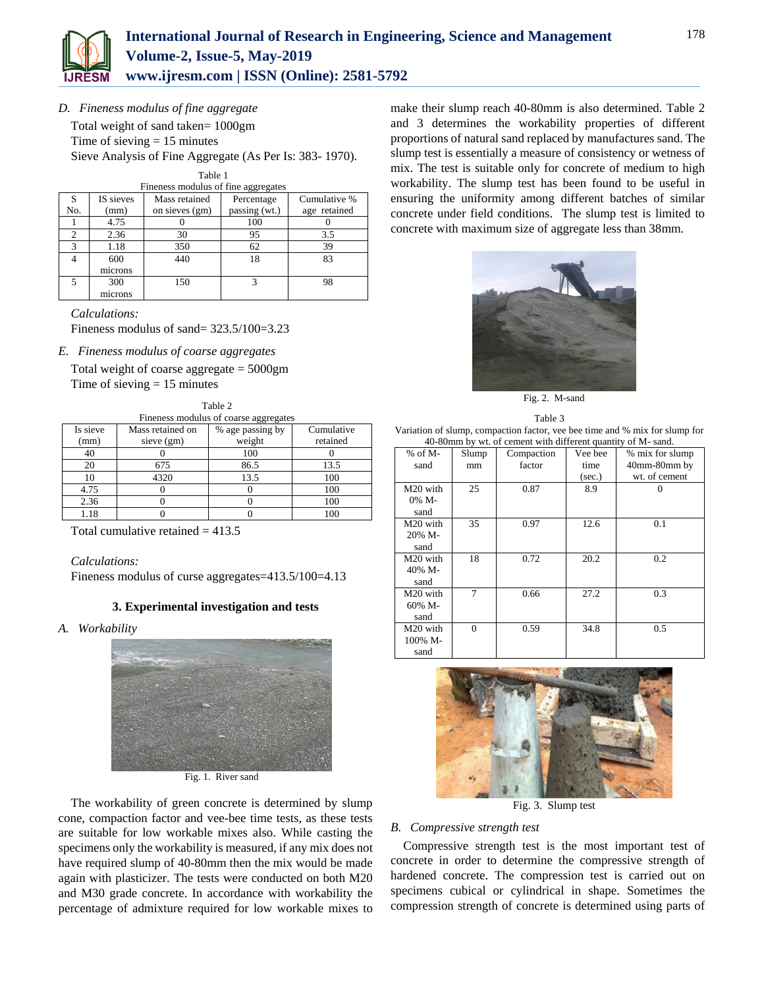

*D. Fineness modulus of fine aggregate*

Total weight of sand taken= 1000gm

Time of sieving  $= 15$  minutes

Sieve Analysis of Fine Aggregate (As Per Is: 383- 1970).

| Table 1 |      |  |
|---------|------|--|
| .       | $-1$ |  |

|     | Fineness modulus of fine aggregates |                |               |              |  |  |  |  |
|-----|-------------------------------------|----------------|---------------|--------------|--|--|--|--|
| S   | IS sieves                           | Mass retained  | Percentage    | Cumulative % |  |  |  |  |
| No. | (mm)                                | on sieves (gm) | passing (wt.) | age retained |  |  |  |  |
|     | 4.75                                |                | 100           |              |  |  |  |  |
|     | 2.36                                | 30             | 95            | 3.5          |  |  |  |  |
| ς   | 1.18                                | 350            | 62            | 39           |  |  |  |  |
|     | 600                                 | 440            | 18            | 83           |  |  |  |  |
|     | microns                             |                |               |              |  |  |  |  |
| 300 |                                     | 150            |               | 98           |  |  |  |  |
|     | microns                             |                |               |              |  |  |  |  |

*Calculations:*

Fineness modulus of sand= 323.5/100=3.23

*E. Fineness modulus of coarse aggregates*

Total weight of coarse aggregate = 5000gm Time of sieving  $= 15$  minutes

| Table 2                                                        |              |        |          |  |  |  |  |  |
|----------------------------------------------------------------|--------------|--------|----------|--|--|--|--|--|
| Fineness modulus of coarse aggregates                          |              |        |          |  |  |  |  |  |
| Is sieve<br>Mass retained on<br>Cumulative<br>% age passing by |              |        |          |  |  |  |  |  |
| (mm)                                                           | sieve $(gm)$ | weight | retained |  |  |  |  |  |
| 40                                                             |              | 100    |          |  |  |  |  |  |
| 20                                                             | 675          | 86.5   | 13.5     |  |  |  |  |  |
| 10                                                             | 4320         | 13.5   | 100      |  |  |  |  |  |
| 4.75                                                           |              |        | 100      |  |  |  |  |  |
| 2.36                                                           |              |        | 100      |  |  |  |  |  |
| .18                                                            |              |        |          |  |  |  |  |  |

Total cumulative retained  $= 413.5$ 

*Calculations:*

Fineness modulus of curse aggregates=413.5/100=4.13

#### **3. Experimental investigation and tests**

*A. Workability*



Fig. 1. River sand

The workability of green concrete is determined by slump cone, compaction factor and vee-bee time tests, as these tests are suitable for low workable mixes also. While casting the specimens only the workability is measured, if any mix does not have required slump of 40-80mm then the mix would be made again with plasticizer. The tests were conducted on both M20 and M30 grade concrete. In accordance with workability the percentage of admixture required for low workable mixes to make their slump reach 40-80mm is also determined. Table 2 and 3 determines the workability properties of different proportions of natural sand replaced by manufactures sand. The slump test is essentially a measure of consistency or wetness of mix. The test is suitable only for concrete of medium to high workability. The slump test has been found to be useful in ensuring the uniformity among different batches of similar concrete under field conditions. The slump test is limited to concrete with maximum size of aggregate less than 38mm.



Fig. 2. M-sand



| $10.001$ and $0.101$ and $0.01$ and $0.01$ and $0.01$ and $0.01$ and $0.01$ |          |            |         |                 |  |  |  |
|-----------------------------------------------------------------------------|----------|------------|---------|-----------------|--|--|--|
| $%$ of M-                                                                   | Slump    | Compaction | Vee bee | % mix for slump |  |  |  |
| sand                                                                        | mm       | factor     | time    | 40mm-80mm by    |  |  |  |
|                                                                             |          |            | (sec.)  | wt. of cement   |  |  |  |
| M20 with                                                                    | 25       | 0.87       | 8.9     |                 |  |  |  |
| 0% M-                                                                       |          |            |         |                 |  |  |  |
| sand                                                                        |          |            |         |                 |  |  |  |
| M20 with                                                                    | 35       | 0.97       | 12.6    | 0.1             |  |  |  |
| 20% M-                                                                      |          |            |         |                 |  |  |  |
| sand                                                                        |          |            |         |                 |  |  |  |
| M20 with                                                                    | 18       | 0.72       | 20.2    | 0.2             |  |  |  |
| 40% M-                                                                      |          |            |         |                 |  |  |  |
| sand                                                                        |          |            |         |                 |  |  |  |
| M20 with                                                                    | 7        | 0.66       | 27.2    | 0.3             |  |  |  |
| 60% M-                                                                      |          |            |         |                 |  |  |  |
| sand                                                                        |          |            |         |                 |  |  |  |
| M20 with                                                                    | $\Omega$ | 0.59       | 34.8    | 0.5             |  |  |  |
| 100% M-                                                                     |          |            |         |                 |  |  |  |
| sand                                                                        |          |            |         |                 |  |  |  |



Fig. 3. Slump test

## *B. Compressive strength test*

Compressive strength test is the most important test of concrete in order to determine the compressive strength of hardened concrete. The compression test is carried out on specimens cubical or cylindrical in shape. Sometimes the compression strength of concrete is determined using parts of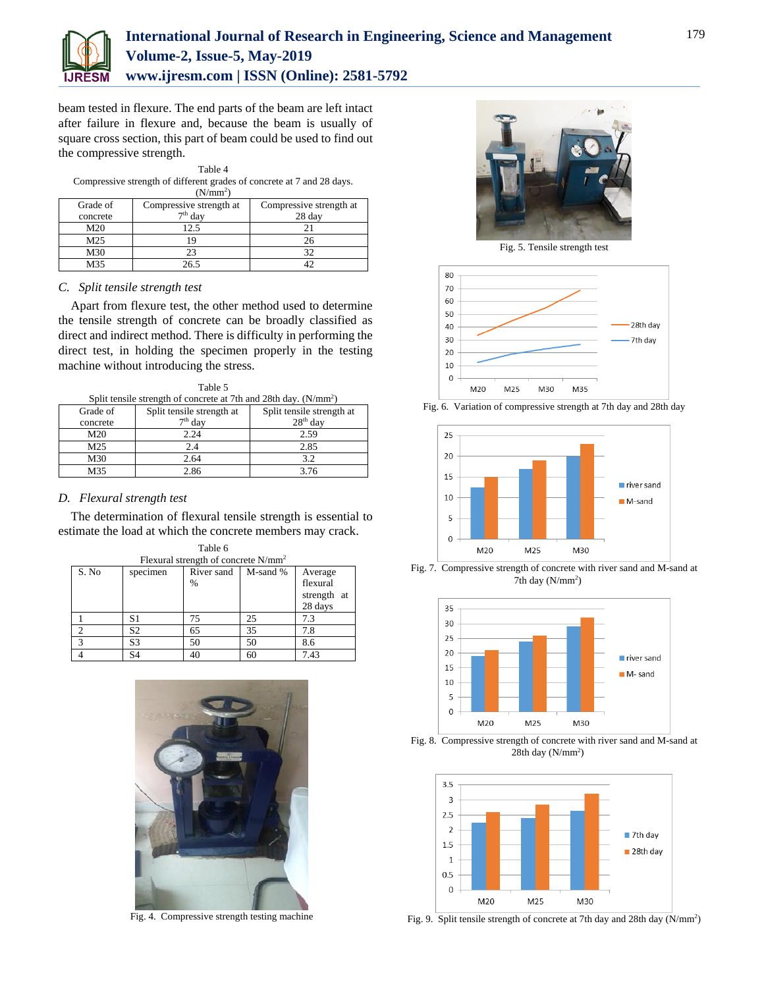

## **International Journal of Research in Engineering, Science and Management Volume-2, Issue-5, May-2019 www.ijresm.com | ISSN (Online): 2581-5792**

beam tested in flexure. The end parts of the beam are left intact after failure in flexure and, because the beam is usually of square cross section, this part of beam could be used to find out the compressive strength.

| Table 4              |                                                                        |  |  |  |  |  |  |  |  |  |  |  |  |
|----------------------|------------------------------------------------------------------------|--|--|--|--|--|--|--|--|--|--|--|--|
|                      | Compressive strength of different grades of concrete at 7 and 28 days. |  |  |  |  |  |  |  |  |  |  |  |  |
| (N/mm <sup>2</sup> ) |                                                                        |  |  |  |  |  |  |  |  |  |  |  |  |
|                      |                                                                        |  |  |  |  |  |  |  |  |  |  |  |  |

| Grade of | Compressive strength at | Compressive strength at |  |  |  |
|----------|-------------------------|-------------------------|--|--|--|
| concrete | $7th$ day               | 28 day                  |  |  |  |
| M20      | 12.5                    |                         |  |  |  |
| M25      |                         | 26                      |  |  |  |
| M30      | 23                      |                         |  |  |  |
| M35      | 26.5                    |                         |  |  |  |

#### *C. Split tensile strength test*

Apart from flexure test, the other method used to determine the tensile strength of concrete can be broadly classified as direct and indirect method. There is difficulty in performing the direct test, in holding the specimen properly in the testing machine without introducing the stress.

| Table 5 |  |                                                                                                      |  |  |  |  |
|---------|--|------------------------------------------------------------------------------------------------------|--|--|--|--|
|         |  | 1977 - 1988 - 1989 - 1980 - 1980 - 1980 - 1980 - 1980 - 1980 - 1980 - 1980 - 1980 - 1980 - 1980 - 19 |  |  |  |  |

| Split tensile strength of concrete at 7th and 28th day. (N/mm <sup>2</sup> ) |                           |                           |  |  |  |  |  |
|------------------------------------------------------------------------------|---------------------------|---------------------------|--|--|--|--|--|
| Grade of                                                                     | Split tensile strength at | Split tensile strength at |  |  |  |  |  |
| concrete                                                                     | $7th$ day                 | $28th$ day                |  |  |  |  |  |
| M20                                                                          | 2.24                      | 2.59                      |  |  |  |  |  |
| M <sub>25</sub>                                                              | 2.4                       | 2.85                      |  |  |  |  |  |
| M30                                                                          | 2.64                      | 3.2                       |  |  |  |  |  |
| M35                                                                          | 2.86                      | 3.76                      |  |  |  |  |  |

#### *D. Flexural strength test*

The determination of flexural tensile strength is essential to estimate the load at which the concrete members may crack.  $Table 6$ 

| <b>Table 0</b>                         |          |                             |          |                                               |  |  |  |
|----------------------------------------|----------|-----------------------------|----------|-----------------------------------------------|--|--|--|
| Flexural strength of concrete $N/mm^2$ |          |                             |          |                                               |  |  |  |
| S. No                                  | specimen | River sand<br>$\frac{0}{0}$ | M-sand % | Average<br>flexural<br>strength at<br>28 days |  |  |  |
|                                        | S1       | 75                          | 25       | 7.3                                           |  |  |  |
|                                        | S2       | 65                          | 35       | 7.8                                           |  |  |  |
| $\mathbf{\overline{3}}$                | S3       | 50                          | 50       | 8.6                                           |  |  |  |
|                                        | S4       | 40                          | 60       | 7.43                                          |  |  |  |



Fig. 4. Compressive strength testing machine



Fig. 5. Tensile strength test



Fig. 6. Variation of compressive strength at 7th day and 28th day



Fig. 7. Compressive strength of concrete with river sand and M-sand at 7th day  $(N/mm^2)$ 







Fig. 9. Split tensile strength of concrete at 7th day and 28th day (N/mm<sup>2</sup>)